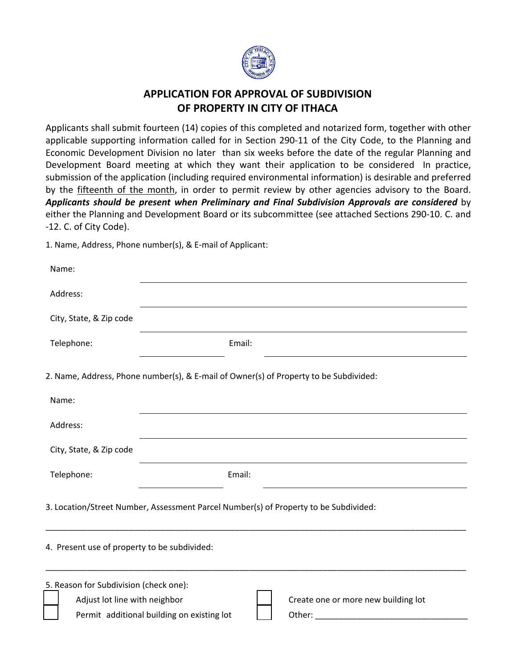

## **APPLICATION FOR APPROVAL OF SUBDIVISION OF PROPERTY IN CITY OF ITHACA**

Applicants shall submit fourteen (14) copies of this completed and notarized form, together with other applicable supporting information called for in Section 290-11 of the City Code, to the Planning and Economic Development Division no later than six weeks before the date of the regular Planning and Development Board meeting at which they want their application to be considered In practice, submission of the application (including required environmental information) is desirable and preferred by the **fifteenth of the month**, in order to permit review by other agencies advisory to the Board. *Applicants should be present when Preliminary and Final Subdivision Approvals are considered* by either the Planning and Development Board or its subcommittee (see attached Sections 290‐10. C. and ‐12. C. of City Code).

1. Name, Address, Phone number(s), & E‐mail of Applicant:

| Name:                                                                                                                                                                                                                                                                                                                                                                                          |                                                                                       |  |
|------------------------------------------------------------------------------------------------------------------------------------------------------------------------------------------------------------------------------------------------------------------------------------------------------------------------------------------------------------------------------------------------|---------------------------------------------------------------------------------------|--|
| Address:                                                                                                                                                                                                                                                                                                                                                                                       |                                                                                       |  |
| City, State, & Zip code                                                                                                                                                                                                                                                                                                                                                                        |                                                                                       |  |
| Telephone:                                                                                                                                                                                                                                                                                                                                                                                     | Email:                                                                                |  |
|                                                                                                                                                                                                                                                                                                                                                                                                | 2. Name, Address, Phone number(s), & E-mail of Owner(s) of Property to be Subdivided: |  |
| Name:                                                                                                                                                                                                                                                                                                                                                                                          |                                                                                       |  |
| Address:                                                                                                                                                                                                                                                                                                                                                                                       |                                                                                       |  |
| City, State, & Zip code                                                                                                                                                                                                                                                                                                                                                                        |                                                                                       |  |
| Telephone:                                                                                                                                                                                                                                                                                                                                                                                     | Email:                                                                                |  |
| 3. Location/Street Number, Assessment Parcel Number(s) of Property to be Subdivided:                                                                                                                                                                                                                                                                                                           |                                                                                       |  |
| 4. Present use of property to be subdivided:                                                                                                                                                                                                                                                                                                                                                   |                                                                                       |  |
| 5. Reason for Subdivision (check one):<br>Adjust lot line with neighbor<br>Create one or more new building lot<br>Permit additional building on existing lot<br>Other: the contract of the contract of the contract of the contract of the contract of the contract of the contract of the contract of the contract of the contract of the contract of the contract of the contract of the con |                                                                                       |  |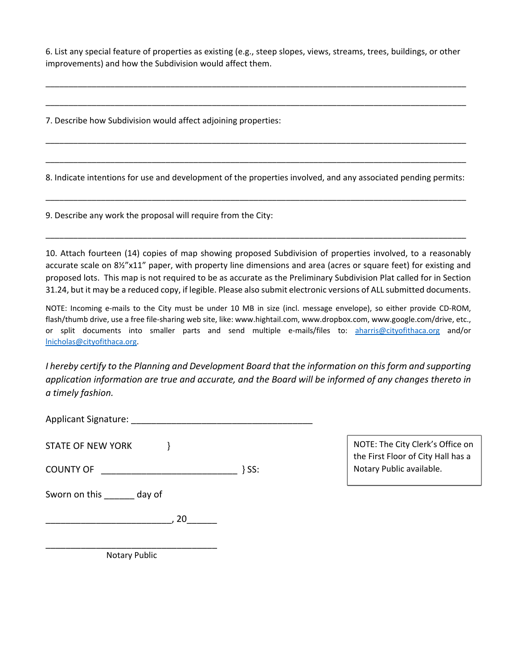6. List any special feature of properties as existing (e.g., steep slopes, views, streams, trees, buildings, or other improvements) and how the Subdivision would affect them.

\_\_\_\_\_\_\_\_\_\_\_\_\_\_\_\_\_\_\_\_\_\_\_\_\_\_\_\_\_\_\_\_\_\_\_\_\_\_\_\_\_\_\_\_\_\_\_\_\_\_\_\_\_\_\_\_\_\_\_\_\_\_\_\_\_\_\_\_\_\_\_\_\_\_\_\_\_\_\_\_\_\_\_\_\_\_\_\_\_\_\_

\_\_\_\_\_\_\_\_\_\_\_\_\_\_\_\_\_\_\_\_\_\_\_\_\_\_\_\_\_\_\_\_\_\_\_\_\_\_\_\_\_\_\_\_\_\_\_\_\_\_\_\_\_\_\_\_\_\_\_\_\_\_\_\_\_\_\_\_\_\_\_\_\_\_\_\_\_\_\_\_\_\_\_\_\_\_\_\_\_\_\_

7. Describe how Subdivision would affect adjoining properties:

8. Indicate intentions for use and development of the properties involved, and any associated pending permits:

\_\_\_\_\_\_\_\_\_\_\_\_\_\_\_\_\_\_\_\_\_\_\_\_\_\_\_\_\_\_\_\_\_\_\_\_\_\_\_\_\_\_\_\_\_\_\_\_\_\_\_\_\_\_\_\_\_\_\_\_\_\_\_\_\_\_\_\_\_\_\_\_\_\_\_\_\_\_\_\_\_\_\_\_\_\_\_\_\_\_\_

\_\_\_\_\_\_\_\_\_\_\_\_\_\_\_\_\_\_\_\_\_\_\_\_\_\_\_\_\_\_\_\_\_\_\_\_\_\_\_\_\_\_\_\_\_\_\_\_\_\_\_\_\_\_\_\_\_\_\_\_\_\_\_\_\_\_\_\_\_\_\_\_\_\_\_\_\_\_\_\_\_\_\_\_\_\_\_\_\_\_\_

\_\_\_\_\_\_\_\_\_\_\_\_\_\_\_\_\_\_\_\_\_\_\_\_\_\_\_\_\_\_\_\_\_\_\_\_\_\_\_\_\_\_\_\_\_\_\_\_\_\_\_\_\_\_\_\_\_\_\_\_\_\_\_\_\_\_\_\_\_\_\_\_\_\_\_\_\_\_\_\_\_\_\_\_\_\_\_\_\_\_\_

\_\_\_\_\_\_\_\_\_\_\_\_\_\_\_\_\_\_\_\_\_\_\_\_\_\_\_\_\_\_\_\_\_\_\_\_\_\_\_\_\_\_\_\_\_\_\_\_\_\_\_\_\_\_\_\_\_\_\_\_\_\_\_\_\_\_\_\_\_\_\_\_\_\_\_\_\_\_\_\_\_\_\_\_\_\_\_\_\_\_\_

9. Describe any work the proposal will require from the City:

10. Attach fourteen (14) copies of map showing proposed Subdivision of properties involved, to a reasonably accurate scale on 8½"x11" paper, with property line dimensions and area (acres or square feet) for existing and proposed lots. This map is not required to be as accurate as the Preliminary Subdivision Plat called for in Section 31.24, but it may be a reduced copy, if legible. Please also submit electronic versions of ALL submitted documents.

NOTE: Incoming e‐mails to the City must be under 10 MB in size (incl. message envelope), so either provide CD‐ROM, flash/thumb drive, use a free file-sharing web site, like: www.hightail.com, www.dropbox.com, www.google.com/drive, etc., or split documents into smaller parts and send multiple e-mails/files to: aharris@cityofithaca.org and/or lnicholas@cityofithaca.org.

*I hereby certify to the Planning and Development Board that the information on this form and supporting application information are true and accurate, and the Board will be informed of any changes thereto in a timely fashion.*

Applicant Signature: **Alternative** and the set of the set of the set of the set of the set of the set of the set of the set of the set of the set of the set of the set of the set of the set of the set of the set of the set

STATE OF NEW YORK  $\}$ 

COUNTY OF \_\_\_\_\_\_\_\_\_\_\_\_\_\_\_\_\_\_\_\_\_\_\_\_\_\_\_ } SS:

Sworn on this day of

\_\_\_\_\_\_\_\_\_\_\_\_\_\_\_\_\_\_\_\_\_\_\_\_\_, 20\_\_\_\_\_\_

NOTE: The City Clerk's Office on the First Floor of City Hall has a Notary Public available.

\_\_\_\_\_\_\_\_\_\_\_\_\_\_\_\_\_\_\_\_\_\_\_\_\_\_\_\_\_\_\_\_\_\_ Notary Public